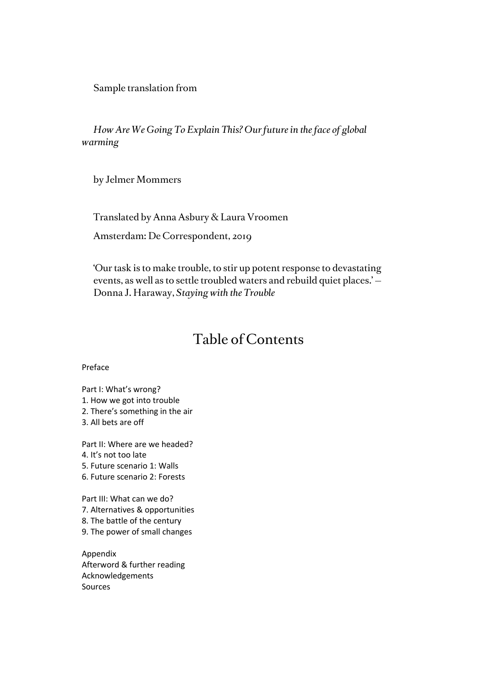Sample translation from

*How Are We Going To Explain This? Our future in the face of global warming*

by Jelmer Mommers

Translated by Anna Asbury & Laura Vroomen Amsterdam: De Correspondent, 2019

'Our task is to make trouble, to stir up potent response to devastating events, as well as to settle troubled waters and rebuild quiet places.' — Donna J. Haraway, *Staying with the Trouble*

# Table of Contents

Preface

Part I: What's wrong?

- 1. How we got into trouble
- 2. There's something in the air
- 3. All bets are off

Part II: Where are we headed? 4. It's not too late

- 5. Future scenario 1: Walls
- 6. Future scenario 2: Forests

Part III: What can we do? 7. Alternatives & opportunities 8. The battle of the century 9. The power of small changes

Appendix Afterword & further reading Acknowledgements Sources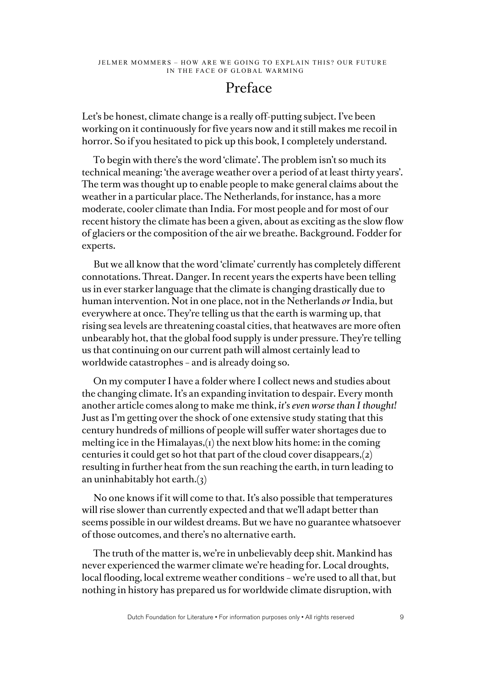## Preface

Let's be honest, climate change is a really off-putting subject. I've been working on it continuously for five years now and it still makes me recoil in horror. So if you hesitated to pick up this book, I completely understand.

To begin with there's the word 'climate'. The problem isn't so much its technical meaning: 'the average weather over a period of at least thirty years'. The term was thought up to enable people to make general claims about the weather in a particular place. The Netherlands, for instance, has a more moderate, cooler climate than India. For most people and for most of our recent history the climate has been a given, about as exciting as the slow flow of glaciers or the composition of the air we breathe. Background. Fodder for experts.

But we all know that the word 'climate' currently has completely different connotations. Threat. Danger. In recent years the experts have been telling us in ever starker language that the climate is changing drastically due to human intervention. Not in one place, not in the Netherlands *or* India, but everywhere at once. They're telling us that the earth is warming up, that rising sea levels are threatening coastal cities, that heatwaves are more often unbearably hot, that the global food supply is under pressure. They're telling us that continuing on our current path will almost certainly lead to worldwide catastrophes – and is already doing so.

On my computer I have a folder where I collect news and studies about the changing climate. It's an expanding invitation to despair. Every month another article comes along to make me think, *it's even worse than I thought!*  Just as I'm getting over the shock of one extensive study stating that this century hundreds of millions of people will suffer water shortages due to melting ice in the Himalayas,(1) the next blow hits home: in the coming centuries it could get so hot that part of the cloud cover disappears,(2) resulting in further heat from the sun reaching the earth, in turn leading to an uninhabitably hot earth. $(3)$ 

No one knows if it will come to that. It's also possible that temperatures will rise slower than currently expected and that we'll adapt better than seems possible in our wildest dreams. But we have no guarantee whatsoever of those outcomes, and there's no alternative earth.

The truth of the matter is, we're in unbelievably deep shit. Mankind has never experienced the warmer climate we're heading for. Local droughts, local flooding, local extreme weather conditions – we're used to all that, but nothing in history has prepared us for worldwide climate disruption, with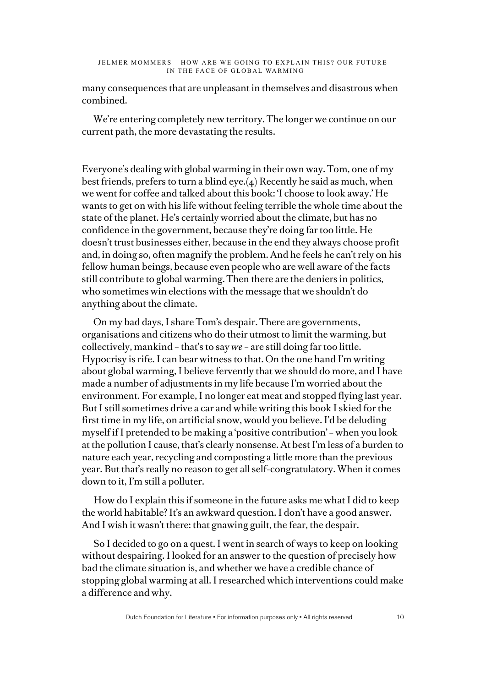many consequences that are unpleasant in themselves and disastrous when combined.

We're entering completely new territory. The longer we continue on our current path, the more devastating the results.

Everyone's dealing with global warming in their own way. Tom, one of my best friends, prefers to turn a blind eye.(4) Recently he said as much, when we went for coffee and talked about this book: 'I choose to look away.' He wants to get on with his life without feeling terrible the whole time about the state of the planet. He's certainly worried about the climate, but has no confidence in the government, because they're doing far too little. He doesn't trust businesses either, because in the end they always choose profit and, in doing so, often magnify the problem. And he feels he can't rely on his fellow human beings, because even people who are well aware of the facts still contribute to global warming. Then there are the deniers in politics, who sometimes win elections with the message that we shouldn't do anything about the climate.

On my bad days, I share Tom's despair. There are governments, organisations and citizens who do their utmost to limit the warming, but collectively, mankind – that's to say *we* – are still doing far too little. Hypocrisy is rife. I can bear witness to that. On the one hand I'm writing about global warming, I believe fervently that we should do more, and I have made a number of adjustments in my life because I'm worried about the environment. For example, I no longer eat meat and stopped flying last year. But I still sometimes drive a car and while writing this book I skied for the first time in my life, on artificial snow, would you believe. I'd be deluding myself if I pretended to be making a 'positive contribution' – when you look at the pollution I cause, that's clearly nonsense. At best I'm less of a burden to nature each year, recycling and composting a little more than the previous year. But that's really no reason to get all self-congratulatory. When it comes down to it, I'm still a polluter.

How do I explain this if someone in the future asks me what I did to keep the world habitable? It's an awkward question. I don't have a good answer. And I wish it wasn't there: that gnawing guilt, the fear, the despair.

So I decided to go on a quest. I went in search of ways to keep on looking without despairing. I looked for an answer to the question of precisely how bad the climate situation is, and whether we have a credible chance of stopping global warming at all. I researched which interventions could make a difference and why.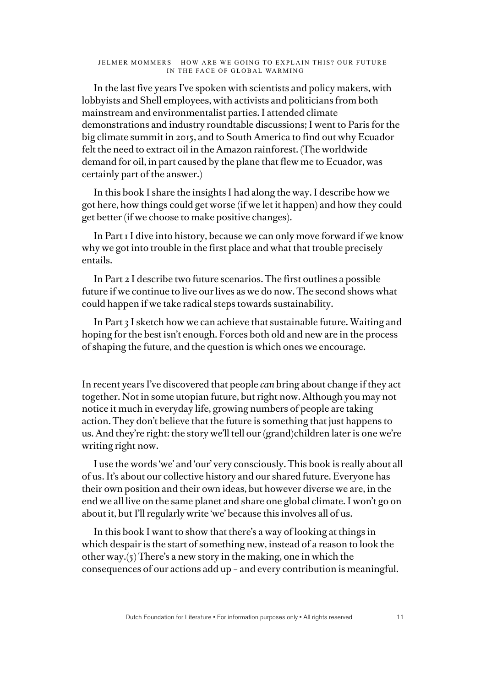In the last five years I've spoken with scientists and policy makers, with lobbyists and Shell employees, with activists and politicians from both mainstream and environmentalist parties. I attended climate demonstrations and industry roundtable discussions; I went to Paris for the big climate summit in 2015, and to South America to find out why Ecuador felt the need to extract oil in the Amazon rainforest. (The worldwide demand for oil, in part caused by the plane that flew me to Ecuador, was certainly part of the answer.)

In this book I share the insights I had along the way. I describe how we got here, how things could get worse (if we let it happen) and how they could get better (if we choose to make positive changes).

In Part 1 I dive into history, because we can only move forward if we know why we got into trouble in the first place and what that trouble precisely entails.

In Part 2 I describe two future scenarios. The first outlines a possible future if we continue to live our lives as we do now. The second shows what could happen if we take radical steps towards sustainability.

In Part 3 I sketch how we can achieve that sustainable future. Waiting and hoping for the best isn't enough. Forces both old and new are in the process of shaping the future, and the question is which ones we encourage.

In recent years I've discovered that people *can* bring about change if they act together. Not in some utopian future, but right now. Although you may not notice it much in everyday life, growing numbers of people are taking action. They don't believe that the future is something that just happens to us. And they're right: the story we'll tell our (grand)children later is one we're writing right now.

I use the words 'we' and 'our' very consciously. This book is really about all of us. It's about our collective history and our shared future. Everyone has their own position and their own ideas, but however diverse we are, in the end we all live on the same planet and share one global climate. I won't go on about it, but I'll regularly write 'we' because this involves all of us.

In this book I want to show that there's a way of looking at things in which despair is the start of something new, instead of a reason to look the other way.(5) There's a new story in the making, one in which the consequences of our actions add up – and every contribution is meaningful.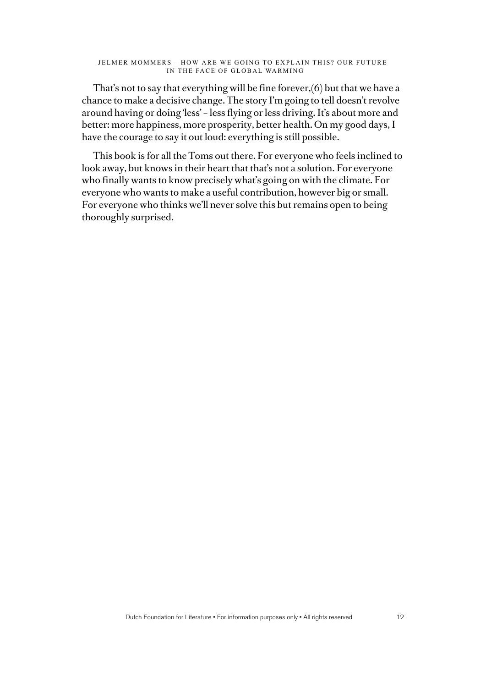That's not to say that everything will be fine forever,(6) but that we have a chance to make a decisive change. The story I'm going to tell doesn't revolve around having or doing 'less' – less flying or less driving. It's about more and better: more happiness, more prosperity, better health. On my good days, I have the courage to say it out loud: everything is still possible.

This book is for all the Toms out there. For everyone who feels inclined to look away, but knows in their heart that that's not a solution. For everyone who finally wants to know precisely what's going on with the climate. For everyone who wants to make a useful contribution, however big or small. For everyone who thinks we'll never solve this but remains open to being thoroughly surprised.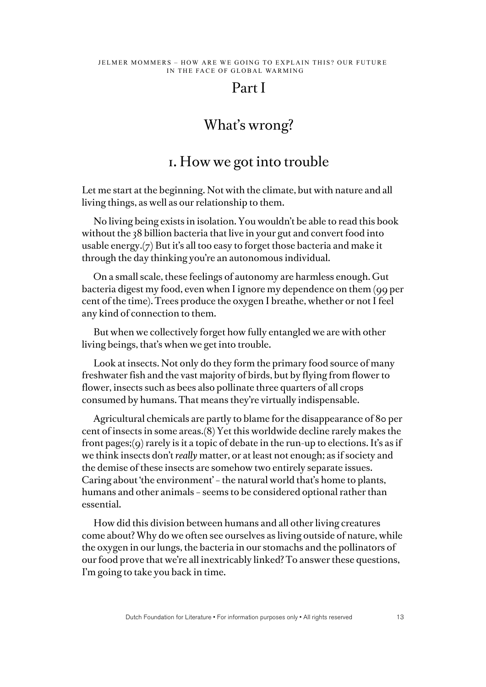## Part I

# What's wrong?

## 1. How we got into trouble

Let me start at the beginning. Not with the climate, but with nature and all living things, as well as our relationship to them.

No living being exists in isolation. You wouldn't be able to read this book without the 38 billion bacteria that live in your gut and convert food into usable energy.(7) But it's all too easy to forget those bacteria and make it through the day thinking you're an autonomous individual.

On a small scale, these feelings of autonomy are harmless enough. Gut bacteria digest my food, even when I ignore my dependence on them (99 per cent of the time). Trees produce the oxygen I breathe, whether or not I feel any kind of connection to them.

But when we collectively forget how fully entangled we are with other living beings, that's when we get into trouble.

Look at insects. Not only do they form the primary food source of many freshwater fish and the vast majority of birds, but by flying from flower to flower, insects such as bees also pollinate three quarters of all crops consumed by humans. That means they're virtually indispensable.

Agricultural chemicals are partly to blame for the disappearance of 80 per cent of insects in some areas.(8) Yet this worldwide decline rarely makes the front pages; (9) rarely is it a topic of debate in the run-up to elections. It's as if we think insects don't *really* matter, or at least not enough; as if society and the demise of these insects are somehow two entirely separate issues. Caring about 'the environment' – the natural world that's home to plants, humans and other animals – seems to be considered optional rather than essential.

How did this division between humans and all other living creatures come about? Why do we often see ourselves as living outside of nature, while the oxygen in our lungs, the bacteria in our stomachs and the pollinators of our food prove that we're all inextricably linked? To answer these questions, I'm going to take you back in time.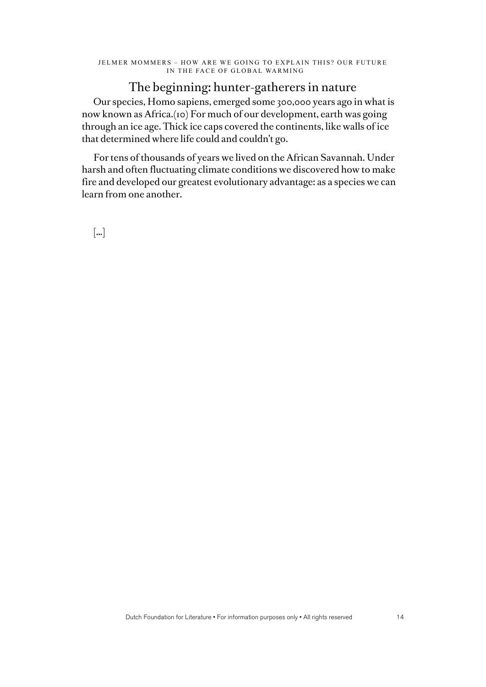### The beginning: hunter-gatherers in nature

Our species, Homo sapiens, emerged some 300,000 years ago in what is now known as Africa.(10) For much of our development, earth was going through an ice age. Thick ice caps covered the continents, like walls of ice that determined where life could and couldn't go.

For tens of thousands of years we lived on the African Savannah. Under harsh and often fluctuating climate conditions we discovered how to make fire and developed our greatest evolutionary advantage: as a species we can learn from one another.

[…]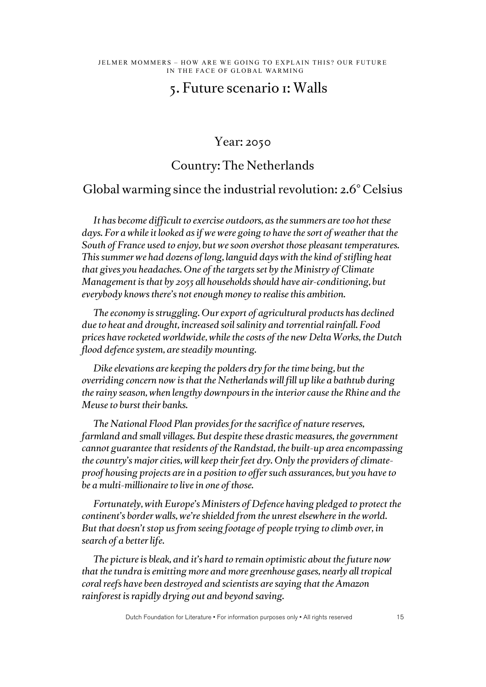# 5. Future scenario 1: Walls

### Year: 2050

## Country: The Netherlands

## Global warming since the industrial revolution: 2.6° Celsius

*It has become difficult to exercise outdoors, as the summers are too hot these days. For a while it looked as if we were going to have the sort of weather that the South of France used to enjoy, but we soon overshot those pleasant temperatures. This summer we had dozens of long, languid days with the kind of stifling heat that gives you headaches. One of the targets set by the Ministry of Climate Management is that by 2055 all households should have air-conditioning, but everybody knows there's not enough money to realise this ambition.* 

*The economy is struggling. Our export of agricultural products has declined due to heat and drought, increased soil salinity and torrential rainfall. Food prices have rocketed worldwide, while the costs of the new Delta Works, the Dutch flood defence system, are steadily mounting.*

*Dike elevations are keeping the polders dry for the time being, but the overriding concern now is that the Netherlands will fill up like a bathtub during the rainy season, when lengthy downpours in the interior cause the Rhine and the Meuse to burst their banks.* 

*The National Flood Plan provides for the sacrifice of nature reserves, farmland and small villages. But despite these drastic measures, the government cannot guarantee that residents of the Randstad, the built-up area encompassing the country's major cities, will keep their feet dry. Only the providers of climateproof housing projects are in a position to offer such assurances, but you have to be a multi-millionaire to live in one of those.* 

*Fortunately, with Europe's Ministers of Defence having pledged to protect the continent's border walls, we're shielded from the unrest elsewhere in the world. But that doesn't stop us from seeing footage of people trying to climb over, in search of a better life.* 

*The picture is bleak, and it's hard to remain optimistic about the future now that the tundra is emitting more and more greenhouse gases, nearly all tropical coral reefs have been destroyed and scientists are saying that the Amazon rainforest is rapidly drying out and beyond saving.*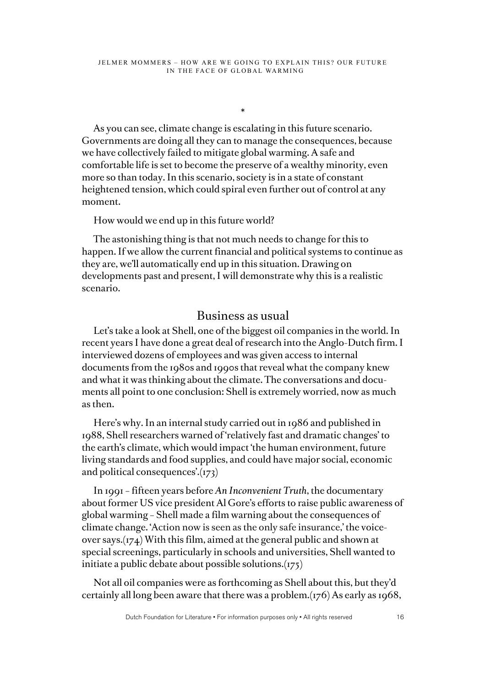\*

As you can see, climate change is escalating in this future scenario. Governments are doing all they can to manage the consequences, because we have collectively failed to mitigate global warming. A safe and comfortable life is set to become the preserve of a wealthy minority, even more so than today. In this scenario, society is in a state of constant heightened tension, which could spiral even further out of control at any moment.

#### How would we end up in this future world?

The astonishing thing is that not much needs to change for this to happen. If we allow the current financial and political systems to continue as they are, we'll automatically end up in this situation. Drawing on developments past and present, I will demonstrate why this is a realistic scenario.

### Business as usual

Let's take a look at Shell, one of the biggest oil companies in the world. In recent years I have done a great deal of research into the Anglo-Dutch firm. I interviewed dozens of employees and was given access to internal documents from the 1980s and 1990s that reveal what the company knew and what it was thinking about the climate. The conversations and documents all point to one conclusion: Shell is extremely worried, now as much as then.

Here's why. In an internal study carried out in 1986 and published in 1988, Shell researchers warned of 'relatively fast and dramatic changes' to the earth's climate, which would impact 'the human environment, future living standards and food supplies, and could have major social, economic and political consequences'.(173)

In 1991 – fifteen years before *An Inconvenient Truth*, the documentary about former US vice president Al Gore's efforts to raise public awareness of global warming – Shell made a film warning about the consequences of climate change. 'Action now is seen as the only safe insurance,' the voiceover says.(174) With this film, aimed at the general public and shown at special screenings, particularly in schools and universities, Shell wanted to initiate a public debate about possible solutions.(175)

Not all oil companies were as forthcoming as Shell about this, but they'd certainly all long been aware that there was a problem.(176) As early as 1968,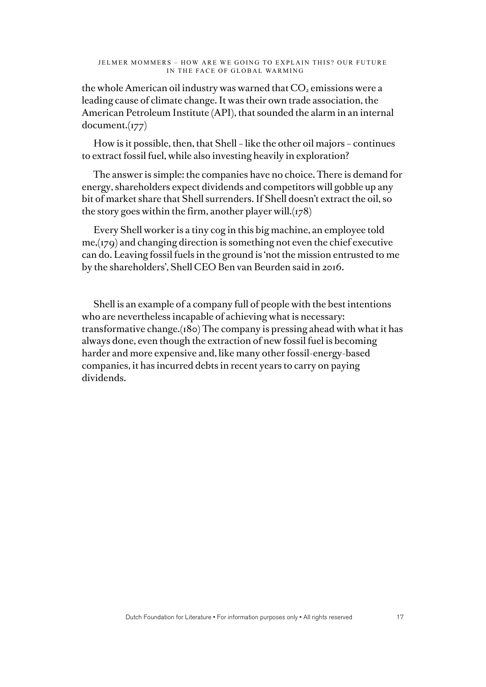the whole American oil industry was warned that  $CO<sub>2</sub>$  emissions were a leading cause of climate change. It was their own trade association, the American Petroleum Institute (API), that sounded the alarm in an internal document.(177)

How is it possible, then, that Shell – like the other oil majors – continues to extract fossil fuel, while also investing heavily in exploration?

The answer is simple: the companies have no choice. There is demand for energy, shareholders expect dividends and competitors will gobble up any bit of market share that Shell surrenders. If Shell doesn't extract the oil, so the story goes within the firm, another player will. $(178)$ 

Every Shell worker is a tiny cog in this big machine, an employee told me,(179) and changing direction is something not even the chief executive can do. Leaving fossil fuels in the ground is 'not the mission entrusted to me by the shareholders', Shell CEO Ben van Beurden said in 2016.

Shell is an example of a company full of people with the best intentions who are nevertheless incapable of achieving what is necessary: transformative change.(180) The company is pressing ahead with what it has always done, even though the extraction of new fossil fuel is becoming harder and more expensive and, like many other fossil-energy-based companies, it has incurred debts in recent years to carry on paying dividends.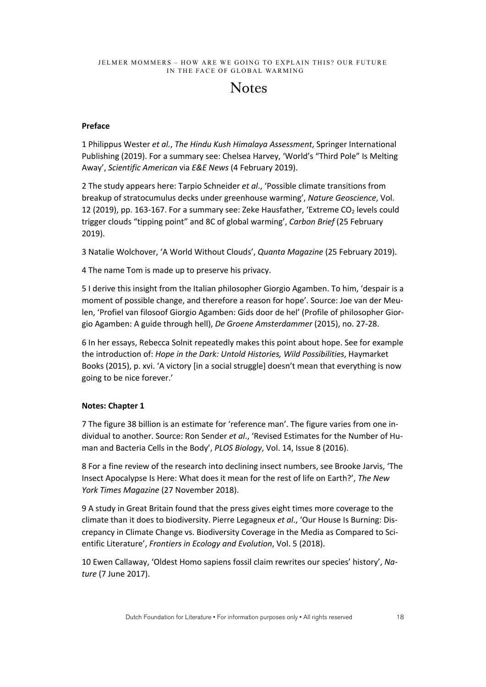# **Notes**

#### **Preface**

1 Philippus Wester *et al.*, *The Hindu Kush Himalaya Assessment*, Springer International Publishing (2019). For a summary see: Chelsea Harvey, 'World's "Third Pole" Is Melting Away', *Scientific American* via *E&E News* (4 February 2019).

2 The study appears here: Tarpio Schneider *et al*., 'Possible climate transitions from breakup of stratocumulus decks under greenhouse warming', *Nature Geoscience*, Vol. 12 (2019), pp. 163-167. For a summary see: Zeke Hausfather, 'Extreme CO<sub>2</sub> levels could trigger clouds "tipping point" and 8C of global warming', *Carbon Brief* (25 February 2019).

3 Natalie Wolchover, 'A World Without Clouds', *Quanta Magazine* (25 February 2019).

4 The name Tom is made up to preserve his privacy.

5 I derive this insight from the Italian philosopher Giorgio Agamben. To him, 'despair is a moment of possible change, and therefore a reason for hope'. Source: Joe van der Meulen, 'Profiel van filosoof Giorgio Agamben: Gids door de hel' (Profile of philosopher Giorgio Agamben: A guide through hell), *De Groene Amsterdammer* (2015), no. 27-28.

6 In her essays, Rebecca Solnit repeatedly makes this point about hope. See for example the introduction of: *Hope in the Dark: Untold Histories, Wild Possibilities*, Haymarket Books (2015), p. xvi. 'A victory [in a social struggle] doesn't mean that everything is now going to be nice forever.'

#### **Notes: Chapter 1**

7 The figure 38 billion is an estimate for 'reference man'. The figure varies from one individual to another. Source: Ron Sender *et al*., 'Revised Estimates for the Number of Human and Bacteria Cells in the Body', *PLOS Biology*, Vol. 14, Issue 8 (2016).

8 For a fine review of the research into declining insect numbers, see Brooke Jarvis, 'The Insect Apocalypse Is Here: What does it mean for the rest of life on Earth?', *The New York Times Magazine* (27 November 2018).

9 A study in Great Britain found that the press gives eight times more coverage to the climate than it does to biodiversity. Pierre Legagneux *et al*., 'Our House Is Burning: Discrepancy in Climate Change vs. Biodiversity Coverage in the Media as Compared to Scientific Literature', *Frontiers in Ecology and Evolution*, Vol. 5 (2018).

10 Ewen Callaway, 'Oldest Homo sapiens fossil claim rewrites our species' history', *Nature* (7 June 2017).